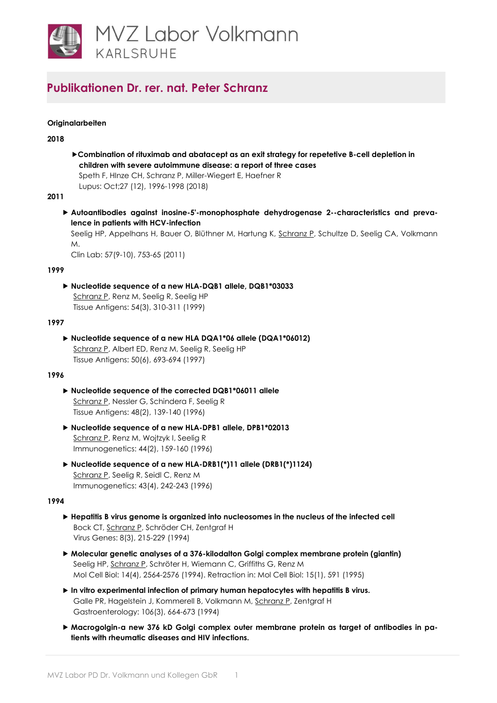

# **Originalarbeiten**

### **2018**

**Combination of rituximab and abatacept as an exit strategy for repetetive B-cell depletion in children with severe autoimmune disease: a report of three cases** Speth F, HInze CH, Schranz P, Miller-Wiegert E, Haefner R Lupus: Oct;27 (12), 1996-1998 (2018)

### **2011**

 **Autoantibodies against inosine-5'-monophosphate dehydrogenase 2--characteristics and prevalence in patients with HCV-infection**

Seelig HP, Appelhans H, Bauer O, Blüthner M, Hartung K, [Schranz P,](http://www.ncbi.nlm.nih.gov/pubmed/22029192) Schultze D, Seelig CA, Volkmann M.

Clin Lab: 57(9-10), 753-65 (2011)

#### **1999**

 **Nucleotide sequence of a new HLA-DQB1 allele, DQB1\*03033** [Schranz P,](http://www.ncbi.nlm.nih.gov/pubmed/10519374) Renz M, Seelig R, Seelig HP Tissue Antigens: 54(3), 310-311 (1999)

#### **1997**

 **Nucleotide sequence of a new HLA DQA1\*06 allele (DQA1\*06012)** [Schranz P,](http://www.ncbi.nlm.nih.gov/pubmed/9458132) Albert ED, Renz M, Seelig R, Seelig HP

Tissue Antigens: 50(6), 693-694 (1997)

# **1996**

- **Nucleotide sequence of the corrected DQB1\*06011 allele** [Schranz P,](http://www.ncbi.nlm.nih.gov/pubmed/8883304) Nessler G, Schindera F, Seelig R Tissue Antigens: 48(2), 139-140 (1996)
- **Nucleotide sequence of a new HLA-DPB1 allele, DPB1\*02013** [Schranz P,](http://www.ncbi.nlm.nih.gov/pubmed/8662081) Renz M, Wojtzyk I, Seelig R Immunogenetics: 44(2), 159-160 (1996)
- **Nucleotide sequence of a new HLA-DRB1(\*)11 allele (DRB1(\*)1124)** [Schranz P,](http://www.ncbi.nlm.nih.gov/pubmed/8575827) Seelig R, Seidl C, Renz M Immunogenetics: 43(4), 242-243 (1996)

#### **1994**

- **Hepatitis B virus genome is organized into nucleosomes in the nucleus of the infected cell** Bock CT, [Schranz P,](http://www.ncbi.nlm.nih.gov/pubmed/7975268) Schröder CH, Zentgraf H Virus Genes: 8(3), 215-229 (1994)
- **Molecular genetic analyses of a 376-kilodalton Golgi complex membrane protein (giantin)** Seelig HP[, Schranz P,](http://www.ncbi.nlm.nih.gov/pubmed/7511208) Schröter H, Wiemann C, Griffiths G, Renz M Mol Cell Biol: 14(4), 2564-2576 (1994). Retraction in: Mol Cell Biol: 15(1), 591 (1995)
- **In vitro experimental infection of primary human hepatocytes with hepatitis B virus.** Galle PR, Hagelstein J, Kommerell B, Volkmann M[, Schranz P,](http://www.ncbi.nlm.nih.gov/pubmed/8119538) Zentgraf H Gastroenterology: 106(3), 664-673 (1994)
- **Macrogolgin-a new 376 kD Golgi complex outer membrane protein as target of antibodies in patients with rheumatic diseases and HIV infections.**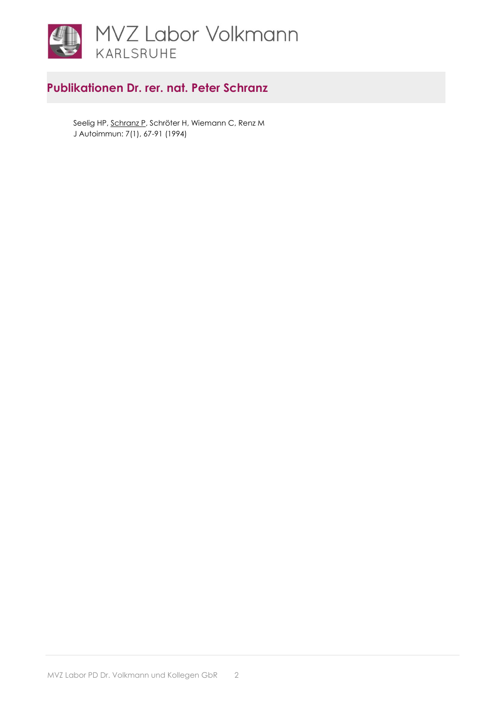

Seelig HP[, Schranz P,](http://www.ncbi.nlm.nih.gov/pubmed/8198703) Schröter H, Wiemann C, Renz M J Autoimmun: 7(1), 67-91 (1994)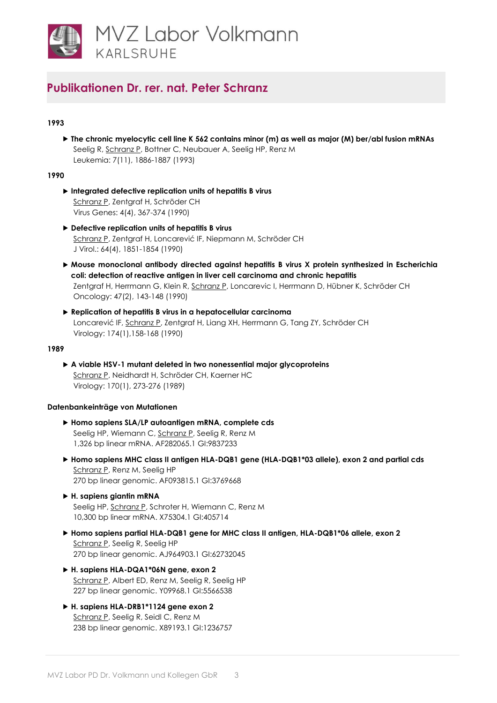

# **1993**

 **The chronic myelocytic cell line K 562 contains minor (m) as well as major (M) ber/abl fusion mRNAs** Seelig R[, Schranz P,](http://www.ncbi.nlm.nih.gov/pubmed/8231257) Bottner C, Neubauer A, Seelig HP, Renz M Leukemia: 7(11), 1886-1887 (1993)

### **1990**

- **Integrated defective replication units of hepatitis B virus** [Schranz P,](http://www.ncbi.nlm.nih.gov/pubmed/1962978) Zentgraf H, Schröder CH Virus Genes: 4(4), 367-374 (1990)
- **Defective replication units of hepatitis B virus** [Schranz P](http://www.ncbi.nlm.nih.gov/pubmed/2157068), Zentgraf H, Loncarević IF, Niepmann M, Schröder CH J Virol.: 64(4), 1851-1854 (1990)
- **Mouse monoclonal antibody directed against hepatitis B virus X protein synthesized in Escherichia coli: detection of reactive antigen in liver cell carcinoma and chronic hepatitis** Zentgraf H, Herrmann G, Klein R, [Schranz P,](http://www.ncbi.nlm.nih.gov/pubmed/2156203) Loncarevic I, Herrmann D, Hübner K, Schröder CH Oncology: 47(2), 143-148 (1990)
- **Replication of hepatitis B virus in a hepatocellular carcinoma** Loncarević IF, [Schranz P,](http://www.ncbi.nlm.nih.gov/pubmed/2152990) Zentgraf H, Liang XH, Herrmann G, Tang ZY, Schröder CH Virology: 174(1),158-168 (1990)

#### **1989**

 **A viable HSV-1 mutant deleted in two nonessential major glycoproteins** [Schranz P,](http://www.ncbi.nlm.nih.gov/pubmed/2541542) Neidhardt H, Schröder CH, Kaerner HC Virology: 170(1), 273-276 (1989)

# **Datenbankeinträge von Mutationen**

- **Homo sapiens SLA/LP autoantigen mRNA, complete cds** Seelig HP, Wiemann C, [Schranz P,](http://www.ncbi.nlm.nih.gov/nuccore/9837233) Seelig R, Renz M 1,326 bp linear mRNA. AF282065.1 GI:9837233
- **Homo sapiens MHC class II antigen HLA-DQB1 gene (HLA-DQB1\*03 allele), exon 2 and partial cds** [Schranz P,](http://www.ncbi.nlm.nih.gov/nuccore/3769668) Renz M, Seelig HP 270 bp linear genomic. AF093815.1 GI:3769668
- **H. sapiens giantin mRNA** Seelig HP[, Schranz P,](http://www.ncbi.nlm.nih.gov/nuccore/405714) Schroter H, Wiemann C, Renz M 10,300 bp linear mRNA. X75304.1 GI:405714
- **Homo sapiens partial HLA-DQB1 gene for MHC class II antigen, HLA-DQB1\*06 allele, exon 2** [Schranz P,](http://www.ncbi.nlm.nih.gov/nuccore/62732045) Seelig R, Seelig HP 270 bp linear genomic. AJ964903.1 GI:62732045
- **H. sapiens HLA-DQA1\*06N gene, exon 2** [Schranz P,](http://www.ncbi.nlm.nih.gov/nuccore/5566538) Albert ED, Renz M, Seelig R, Seelig HP 227 bp linear genomic. Y09968.1 GI:5566538
- **H. sapiens HLA-DRB1\*1124 gene exon 2** [Schranz P,](http://www.ncbi.nlm.nih.gov/nuccore/1236757) Seelig R, Seidl C, Renz M 238 bp linear genomic. X89193.1 GI:1236757